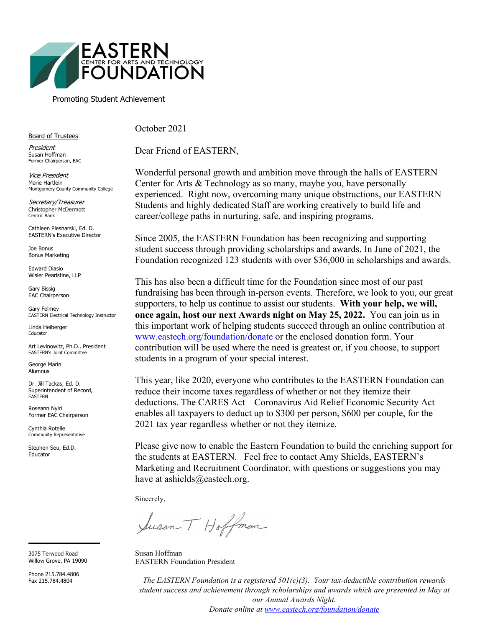

#### Promoting Student Achievement

Board of Trustees

President Susan Hoffman Former Chairperson, EAC

Vice President Marie Hartlein Montgomery County Community College

Secretary/Treasurer Christopher McDermott Centric Bank

Cathleen Plesnarski, Ed. D. EASTERN's Executive Director

Joe Bonus Bonus Marketing

Edward Diasio Wisler Pearlstine, LLP

Gary Bissig EAC Chairperson

Gary Felmey EASTERN Electrical Technology Instructor

Linda Heiberger Educator

Art Levinowitz, Ph.D., President EASTERN's Joint Committee

George Marin Alumnus

Dr. Jill Tackas, Ed. D. Superintendent of Record, EASTERN

Roseann Nyiri Former EAC Chairperson

Cynthia Rotelle Community Representative

Stephen Seu, Ed.D. **Educator** 

3075 Terwood Road Willow Grove, PA 19090

Phone 215.784.4806 Fax 215.784.4804

October 2021

Dear Friend of EASTERN,

Wonderful personal growth and ambition move through the halls of EASTERN Center for Arts & Technology as so many, maybe you, have personally experienced. Right now, overcoming many unique obstructions, our EASTERN Students and highly dedicated Staff are working creatively to build life and career/college paths in nurturing, safe, and inspiring programs.

Since 2005, the EASTERN Foundation has been recognizing and supporting student success through providing scholarships and awards. In June of 2021, the Foundation recognized 123 students with over \$36,000 in scholarships and awards.

This has also been a difficult time for the Foundation since most of our past fundraising has been through in-person events. Therefore, we look to you, our great supporters, to help us continue to assist our students. **With your help, we will, once again, host our next Awards night on May 25, 2022.** You can join us in this important work of helping students succeed through an online contribution at [www.eastech.org/foundation/donate](https://www.eastech.org/foundation/donate) or the enclosed donation form. Your contribution will be used where the need is greatest or, if you choose, to support students in a program of your special interest.

This year, like 2020, everyone who contributes to the EASTERN Foundation can reduce their income taxes regardless of whether or not they itemize their deductions. The CARES Act – Coronavirus Aid Relief Economic Security Act – enables all taxpayers to deduct up to \$300 per person, \$600 per couple, for the 2021 tax year regardless whether or not they itemize.

Please give now to enable the Eastern Foundation to build the enriching support for the students at EASTERN. Feel free to contact Amy Shields, EASTERN's Marketing and Recruitment Coordinator, with questions or suggestions you may have at ashields@eastech.org.

Sincerely,

Susan T Hoffman

Susan Hoffman EASTERN Foundation President

*The EASTERN Foundation is a registered 501(c)(3). Your tax-deductible contribution rewards student success and achievement through scholarships and awards which are presented in May at our Annual Awards Night.* 

*Donate online at [www.eastech.org/foundation/donate](http://www.eastech.org/foundation/donate)*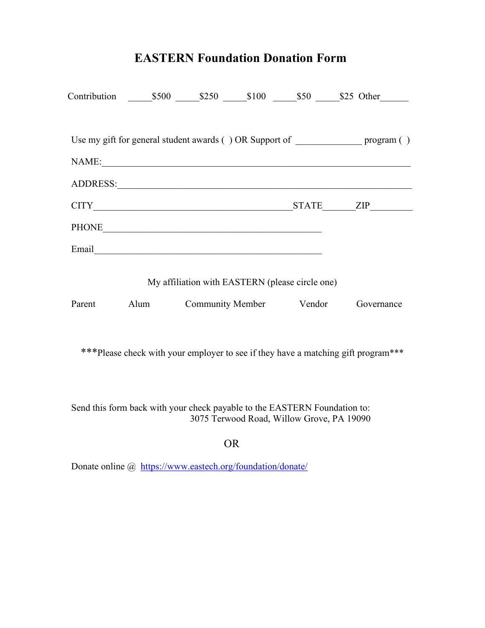# **EASTERN Foundation Donation Form**

|              |                                                                                                                                                                                                                                |                                                 |                         | Contribution \$500 \$250 \$100 \$50 \$25 Other                                        |
|--------------|--------------------------------------------------------------------------------------------------------------------------------------------------------------------------------------------------------------------------------|-------------------------------------------------|-------------------------|---------------------------------------------------------------------------------------|
|              |                                                                                                                                                                                                                                |                                                 |                         | Use my gift for general student awards () OR Support of __________________ program () |
| NAME:        | <u> 1989 - Jan Samuel Barbara, margaret eta idazlea (h. 1989).</u>                                                                                                                                                             |                                                 |                         |                                                                                       |
|              | ADDRESS: And All Alberta and Alberta and Alberta and Alberta and Alberta and Alberta and Alberta and Alberta and Alberta and Alberta and Alberta and Alberta and Alberta and Alberta and Alberta and Alberta and Alberta and A |                                                 |                         |                                                                                       |
| <b>CITY</b>  |                                                                                                                                                                                                                                |                                                 |                         | STATE ZIP                                                                             |
| <b>PHONE</b> |                                                                                                                                                                                                                                |                                                 |                         |                                                                                       |
| Email        |                                                                                                                                                                                                                                |                                                 |                         |                                                                                       |
|              |                                                                                                                                                                                                                                | My affiliation with EASTERN (please circle one) |                         |                                                                                       |
| Parent       | Alum                                                                                                                                                                                                                           |                                                 | Community Member Vendor | Governance                                                                            |

\*\*\*Please check with your employer to see if they have a matching gift program\*\*\*

Send this form back with your check payable to the EASTERN Foundation to: 3075 Terwood Road, Willow Grove, PA 19090

### OR

Donate online @ <https://www.eastech.org/foundation/donate/>